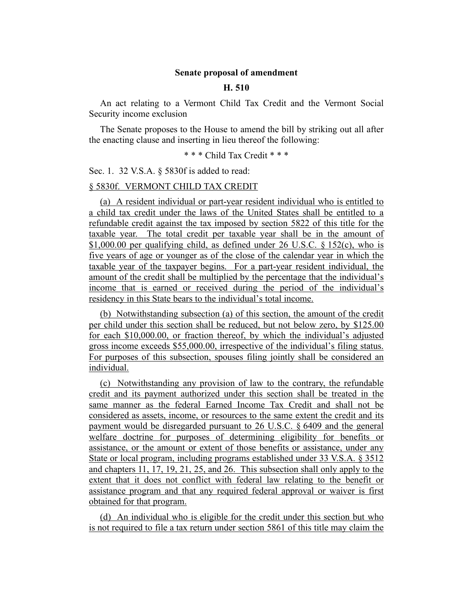## **Senate proposal of amendment**

## **H. 510**

An act relating to a Vermont Child Tax Credit and the Vermont Social Security income exclusion

The Senate proposes to the House to amend the bill by striking out all after the enacting clause and inserting in lieu thereof the following:

\* \* \* Child Tax Credit \* \* \*

Sec. 1. 32 V.S.A. § 5830f is added to read:

### § 5830f. VERMONT CHILD TAX CREDIT

(a) A resident individual or part-year resident individual who is entitled to a child tax credit under the laws of the United States shall be entitled to a refundable credit against the tax imposed by section 5822 of this title for the taxable year. The total credit per taxable year shall be in the amount of \$1,000.00 per qualifying child, as defined under 26 U.S.C. § 152(c), who is five years of age or younger as of the close of the calendar year in which the taxable year of the taxpayer begins. For a part-year resident individual, the amount of the credit shall be multiplied by the percentage that the individual's income that is earned or received during the period of the individual's residency in this State bears to the individual's total income.

(b) Notwithstanding subsection (a) of this section, the amount of the credit per child under this section shall be reduced, but not below zero, by \$125.00 for each \$10,000.00, or fraction thereof, by which the individual's adjusted gross income exceeds \$55,000.00, irrespective of the individual's filing status. For purposes of this subsection, spouses filing jointly shall be considered an individual.

(c) Notwithstanding any provision of law to the contrary, the refundable credit and its payment authorized under this section shall be treated in the same manner as the federal Earned Income Tax Credit and shall not be considered as assets, income, or resources to the same extent the credit and its payment would be disregarded pursuant to 26 U.S.C. § 6409 and the general welfare doctrine for purposes of determining eligibility for benefits or assistance, or the amount or extent of those benefits or assistance, under any State or local program, including programs established under 33 V.S.A. § 3512 and chapters 11, 17, 19, 21, 25, and 26. This subsection shall only apply to the extent that it does not conflict with federal law relating to the benefit or assistance program and that any required federal approval or waiver is first obtained for that program.

(d) An individual who is eligible for the credit under this section but who is not required to file a tax return under section 5861 of this title may claim the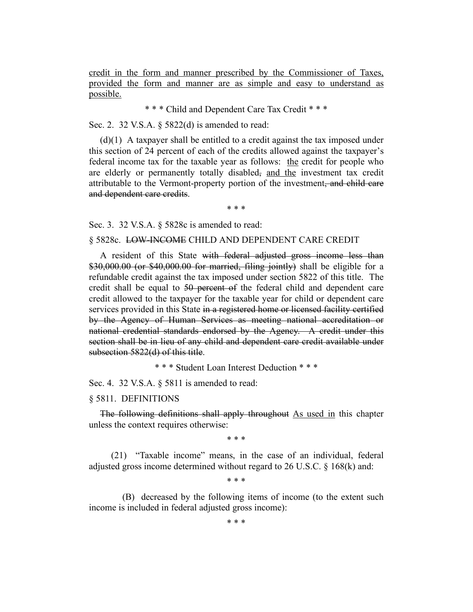credit in the form and manner prescribed by the Commissioner of Taxes, provided the form and manner are as simple and easy to understand as possible.

\* \* \* Child and Dependent Care Tax Credit \* \* \*

Sec. 2. 32 V.S.A. § 5822(d) is amended to read:

(d)(1) A taxpayer shall be entitled to a credit against the tax imposed under this section of 24 percent of each of the credits allowed against the taxpayer's federal income tax for the taxable year as follows: the credit for people who are elderly or permanently totally disabled, and the investment tax credit attributable to the Vermont-property portion of the investment, and child care and dependent care credits.

\* \* \*

Sec. 3. 32 V.S.A. § 5828c is amended to read:

#### § 5828c. LOW-INCOME CHILD AND DEPENDENT CARE CREDIT

A resident of this State with federal adjusted gross income less than \$30,000.00 (or \$40,000.00 for married, filing jointly) shall be eligible for a refundable credit against the tax imposed under section 5822 of this title. The credit shall be equal to 50 percent of the federal child and dependent care credit allowed to the taxpayer for the taxable year for child or dependent care services provided in this State in a registered home or licensed facility certified by the Agency of Human Services as meeting national accreditation or national credential standards endorsed by the Agency. A credit under this section shall be in lieu of any child and dependent care credit available under subsection 5822(d) of this title.

\* \* \* Student Loan Interest Deduction \* \* \*

Sec. 4. 32 V.S.A. § 5811 is amended to read:

#### § 5811. DEFINITIONS

The following definitions shall apply throughout As used in this chapter unless the context requires otherwise:

\* \* \*

(21) "Taxable income" means, in the case of an individual, federal adjusted gross income determined without regard to 26 U.S.C. § 168(k) and:

\* \* \*

(B) decreased by the following items of income (to the extent such income is included in federal adjusted gross income):

\* \* \*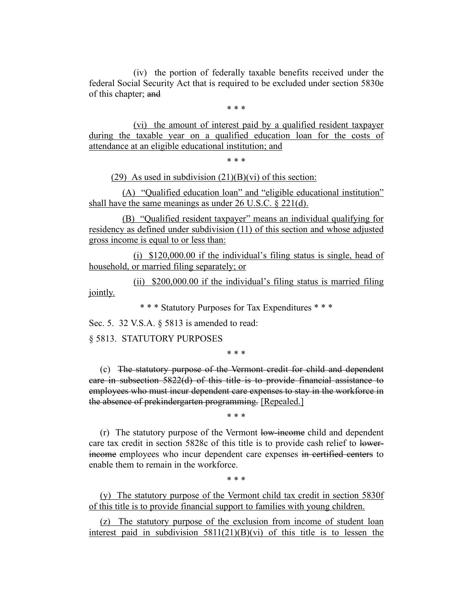(iv) the portion of federally taxable benefits received under the federal Social Security Act that is required to be excluded under section 5830e of this chapter; and

\* \* \*

(vi) the amount of interest paid by a qualified resident taxpayer during the taxable year on a qualified education loan for the costs of attendance at an eligible educational institution; and

\* \* \*

(29) As used in subdivision  $(21)(B)(vi)$  of this section:

(A) "Qualified education loan" and "eligible educational institution" shall have the same meanings as under 26 U.S.C. § 221(d).

(B) "Qualified resident taxpayer" means an individual qualifying for residency as defined under subdivision (11) of this section and whose adjusted gross income is equal to or less than:

(i) \$120,000.00 if the individual's filing status is single, head of household, or married filing separately; or

(ii) \$200,000.00 if the individual's filing status is married filing jointly.

\* \* \* Statutory Purposes for Tax Expenditures \* \* \*

Sec. 5. 32 V.S.A. § 5813 is amended to read:

§ 5813. STATUTORY PURPOSES

\* \* \*

(c) The statutory purpose of the Vermont credit for child and dependent care in subsection 5822(d) of this title is to provide financial assistance to employees who must incur dependent care expenses to stay in the workforce in the absence of prekindergarten programming. [Repealed.]

\* \* \*

(r) The statutory purpose of the Vermont low-income child and dependent care tax credit in section 5828c of this title is to provide cash relief to lowerincome employees who incur dependent care expenses in certified centers to enable them to remain in the workforce.

\* \* \*

(y) The statutory purpose of the Vermont child tax credit in section 5830f of this title is to provide financial support to families with young children.

(z) The statutory purpose of the exclusion from income of student loan interest paid in subdivision 5811(21)(B)(vi) of this title is to lessen the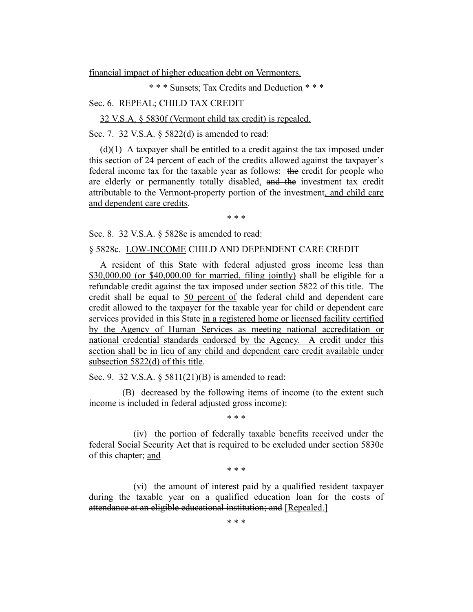financial impact of higher education debt on Vermonters.

\* \* \* Sunsets; Tax Credits and Deduction \* \* \*

### Sec. 6. REPEAL; CHILD TAX CREDIT

32 V.S.A. § 5830f (Vermont child tax credit) is repealed.

Sec. 7. 32 V.S.A. § 5822(d) is amended to read:

(d)(1) A taxpayer shall be entitled to a credit against the tax imposed under this section of 24 percent of each of the credits allowed against the taxpayer's federal income tax for the taxable year as follows: the credit for people who are elderly or permanently totally disabled, and the investment tax credit attributable to the Vermont-property portion of the investment, and child care and dependent care credits.

\* \* \*

Sec. 8. 32 V.S.A. § 5828c is amended to read:

#### § 5828c. LOW-INCOME CHILD AND DEPENDENT CARE CREDIT

A resident of this State with federal adjusted gross income less than \$30,000.00 (or \$40,000.00 for married, filing jointly) shall be eligible for a refundable credit against the tax imposed under section 5822 of this title. The credit shall be equal to 50 percent of the federal child and dependent care credit allowed to the taxpayer for the taxable year for child or dependent care services provided in this State in a registered home or licensed facility certified by the Agency of Human Services as meeting national accreditation or national credential standards endorsed by the Agency. A credit under this section shall be in lieu of any child and dependent care credit available under subsection 5822(d) of this title.

Sec. 9. 32 V.S.A. § 5811(21)(B) is amended to read:

(B) decreased by the following items of income (to the extent such income is included in federal adjusted gross income):

\* \* \*

(iv) the portion of federally taxable benefits received under the federal Social Security Act that is required to be excluded under section 5830e of this chapter; and

\* \* \*

(vi) the amount of interest paid by a qualified resident taxpayer during the taxable year on a qualified education loan for the costs of attendance at an eligible educational institution; and [Repealed.]

\* \* \*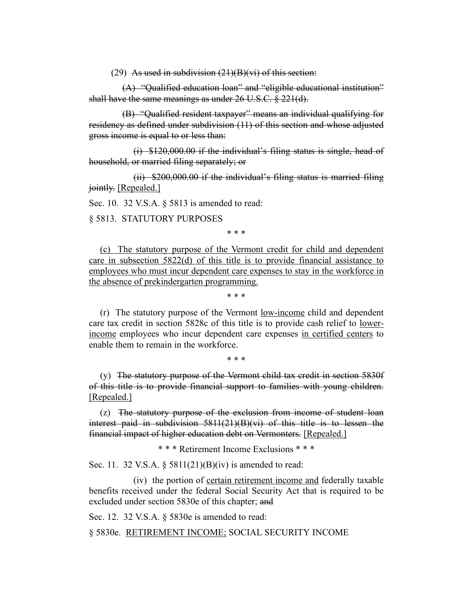(29) As used in subdivision  $(21)(B)(vi)$  of this section:

(A) "Qualified education loan" and "eligible educational institution" shall have the same meanings as under 26 U.S.C. § 221(d).

(B) "Qualified resident taxpayer" means an individual qualifying for residency as defined under subdivision (11) of this section and whose adjusted gross income is equal to or less than:

(i) \$120,000.00 if the individual's filing status is single, head of household, or married filing separately; or

(ii) \$200,000.00 if the individual's filing status is married filing jointly. [Repealed.]

Sec. 10. 32 V.S.A. § 5813 is amended to read:

§ 5813. STATUTORY PURPOSES

\* \* \*

(c) The statutory purpose of the Vermont credit for child and dependent care in subsection 5822(d) of this title is to provide financial assistance to employees who must incur dependent care expenses to stay in the workforce in the absence of prekindergarten programming.

\* \* \*

(r) The statutory purpose of the Vermont low-income child and dependent care tax credit in section 5828c of this title is to provide cash relief to lowerincome employees who incur dependent care expenses in certified centers to enable them to remain in the workforce.

\* \* \*

(y) The statutory purpose of the Vermont child tax credit in section 5830f of this title is to provide financial support to families with young children. [Repealed.]

(z) The statutory purpose of the exclusion from income of student loan interest paid in subdivision 5811(21)(B)(vi) of this title is to lessen the financial impact of higher education debt on Vermonters. [Repealed.]

\* \* \* Retirement Income Exclusions \* \* \*

Sec. 11. 32 V.S.A. § 5811(21)(B)(iv) is amended to read:

(iv) the portion of certain retirement income and federally taxable benefits received under the federal Social Security Act that is required to be excluded under section 5830e of this chapter; and

Sec. 12. 32 V.S.A. § 5830e is amended to read:

§ 5830e. RETIREMENT INCOME; SOCIAL SECURITY INCOME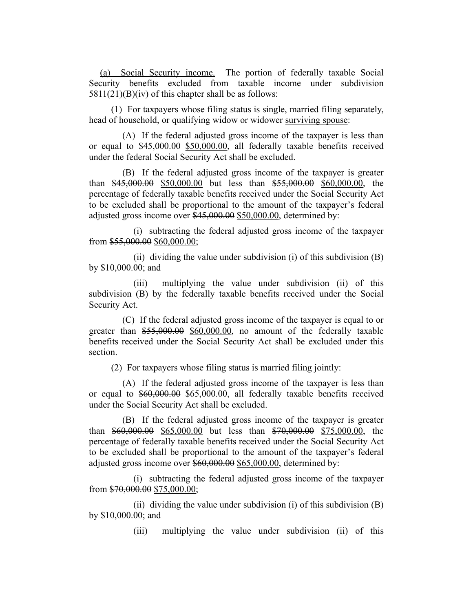(a) Social Security income. The portion of federally taxable Social Security benefits excluded from taxable income under subdivision  $5811(21)(B)(iv)$  of this chapter shall be as follows:

(1) For taxpayers whose filing status is single, married filing separately, head of household, or <del>qualifying widow or widower</del> surviving spouse:

(A) If the federal adjusted gross income of the taxpayer is less than or equal to \$45,000.00 \$50,000.00, all federally taxable benefits received under the federal Social Security Act shall be excluded.

(B) If the federal adjusted gross income of the taxpayer is greater than \$45,000.00 \$50,000.00 but less than \$55,000.00 \$60,000.00, the percentage of federally taxable benefits received under the Social Security Act to be excluded shall be proportional to the amount of the taxpayer's federal adjusted gross income over \$45,000.00 \$50,000.00, determined by:

(i) subtracting the federal adjusted gross income of the taxpayer from \$55,000.00 \$60,000.00;

(ii) dividing the value under subdivision (i) of this subdivision (B) by \$10,000.00; and

(iii) multiplying the value under subdivision (ii) of this subdivision (B) by the federally taxable benefits received under the Social Security Act.

(C) If the federal adjusted gross income of the taxpayer is equal to or greater than \$55,000.00 \$60,000.00, no amount of the federally taxable benefits received under the Social Security Act shall be excluded under this section.

(2) For taxpayers whose filing status is married filing jointly:

(A) If the federal adjusted gross income of the taxpayer is less than or equal to \$60,000.00 \$65,000.00, all federally taxable benefits received under the Social Security Act shall be excluded.

(B) If the federal adjusted gross income of the taxpayer is greater than \$60,000.00 \$65,000.00 but less than \$70,000.00 \$75,000.00, the percentage of federally taxable benefits received under the Social Security Act to be excluded shall be proportional to the amount of the taxpayer's federal adjusted gross income over \$60,000.00 \$65,000.00, determined by:

(i) subtracting the federal adjusted gross income of the taxpayer from \$70,000.00 \$75,000.00;

(ii) dividing the value under subdivision (i) of this subdivision  $(B)$ by \$10,000.00; and

(iii) multiplying the value under subdivision (ii) of this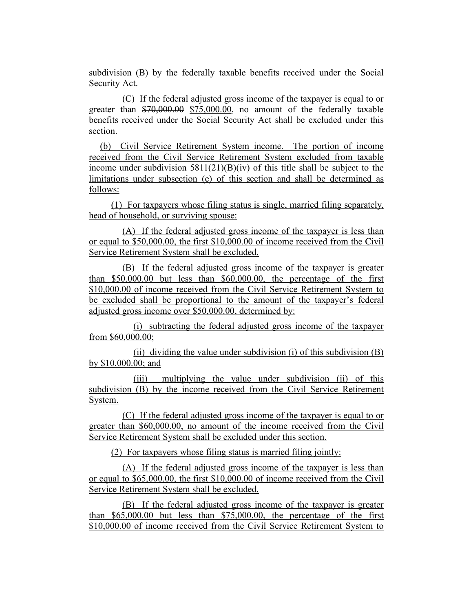subdivision (B) by the federally taxable benefits received under the Social Security Act.

(C) If the federal adjusted gross income of the taxpayer is equal to or greater than \$70,000.00 \$75,000.00, no amount of the federally taxable benefits received under the Social Security Act shall be excluded under this section.

(b) Civil Service Retirement System income. The portion of income received from the Civil Service Retirement System excluded from taxable income under subdivision  $5811(21)(B)(iv)$  of this title shall be subject to the limitations under subsection (e) of this section and shall be determined as follows:

(1) For taxpayers whose filing status is single, married filing separately, head of household, or surviving spouse:

(A) If the federal adjusted gross income of the taxpayer is less than or equal to \$50,000.00, the first \$10,000.00 of income received from the Civil Service Retirement System shall be excluded.

(B) If the federal adjusted gross income of the taxpayer is greater than \$50,000.00 but less than \$60,000.00, the percentage of the first \$10,000.00 of income received from the Civil Service Retirement System to be excluded shall be proportional to the amount of the taxpayer's federal adjusted gross income over \$50,000.00, determined by:

(i) subtracting the federal adjusted gross income of the taxpayer from \$60,000.00;

(ii) dividing the value under subdivision (i) of this subdivision  $(B)$ by \$10,000.00; and

(iii) multiplying the value under subdivision (ii) of this subdivision (B) by the income received from the Civil Service Retirement System.

(C) If the federal adjusted gross income of the taxpayer is equal to or greater than \$60,000.00, no amount of the income received from the Civil Service Retirement System shall be excluded under this section.

(2) For taxpayers whose filing status is married filing jointly:

(A) If the federal adjusted gross income of the taxpayer is less than or equal to \$65,000.00, the first \$10,000.00 of income received from the Civil Service Retirement System shall be excluded.

(B) If the federal adjusted gross income of the taxpayer is greater than \$65,000.00 but less than \$75,000.00, the percentage of the first \$10,000.00 of income received from the Civil Service Retirement System to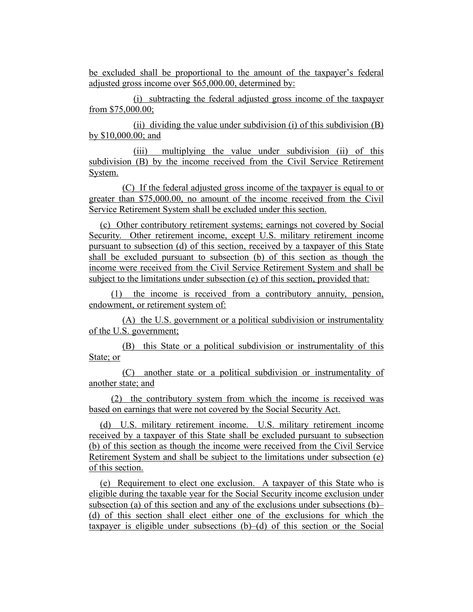be excluded shall be proportional to the amount of the taxpayer's federal adjusted gross income over \$65,000.00, determined by:

(i) subtracting the federal adjusted gross income of the taxpayer from \$75,000.00;

(ii) dividing the value under subdivision (i) of this subdivision (B) by \$10,000.00; and

(iii) multiplying the value under subdivision (ii) of this subdivision (B) by the income received from the Civil Service Retirement System.

(C) If the federal adjusted gross income of the taxpayer is equal to or greater than \$75,000.00, no amount of the income received from the Civil Service Retirement System shall be excluded under this section.

(c) Other contributory retirement systems; earnings not covered by Social Security. Other retirement income, except U.S. military retirement income pursuant to subsection (d) of this section, received by a taxpayer of this State shall be excluded pursuant to subsection (b) of this section as though the income were received from the Civil Service Retirement System and shall be subject to the limitations under subsection (e) of this section, provided that:

(1) the income is received from a contributory annuity, pension, endowment, or retirement system of:

(A) the U.S. government or a political subdivision or instrumentality of the U.S. government;

(B) this State or a political subdivision or instrumentality of this State; or

(C) another state or a political subdivision or instrumentality of another state; and

(2) the contributory system from which the income is received was based on earnings that were not covered by the Social Security Act.

(d) U.S. military retirement income. U.S. military retirement income received by a taxpayer of this State shall be excluded pursuant to subsection (b) of this section as though the income were received from the Civil Service Retirement System and shall be subject to the limitations under subsection (e) of this section.

(e) Requirement to elect one exclusion. A taxpayer of this State who is eligible during the taxable year for the Social Security income exclusion under subsection (a) of this section and any of the exclusions under subsections (b)– (d) of this section shall elect either one of the exclusions for which the taxpayer is eligible under subsections  $(b)$ – $(d)$  of this section or the Social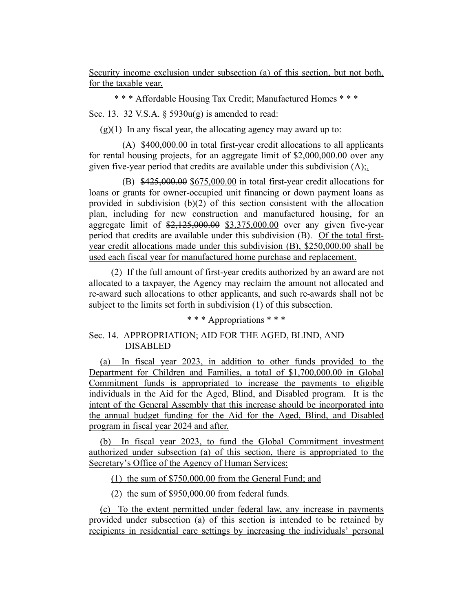Security income exclusion under subsection (a) of this section, but not both, for the taxable year.

\* \* \* Affordable Housing Tax Credit; Manufactured Homes \* \* \*

Sec. 13. 32 V.S.A.  $\S$  5930 $u(g)$  is amended to read:

 $(g)(1)$  In any fiscal year, the allocating agency may award up to:

(A) \$400,000.00 in total first-year credit allocations to all applicants for rental housing projects, for an aggregate limit of \$2,000,000.00 over any given five-year period that credits are available under this subdivision  $(A)$ ;.

 $(B)$  \$425,000.00 \$675,000.00 in total first-year credit allocations for loans or grants for owner-occupied unit financing or down payment loans as provided in subdivision (b)(2) of this section consistent with the allocation plan, including for new construction and manufactured housing, for an aggregate limit of  $\frac{$2,125,000.00}{$3,375,000.00}$  over any given five-year period that credits are available under this subdivision (B). Of the total firstyear credit allocations made under this subdivision (B), \$250,000.00 shall be used each fiscal year for manufactured home purchase and replacement.

(2) If the full amount of first-year credits authorized by an award are not allocated to a taxpayer, the Agency may reclaim the amount not allocated and re-award such allocations to other applicants, and such re-awards shall not be subject to the limits set forth in subdivision (1) of this subsection.

\* \* \* Appropriations \* \* \*

# Sec. 14. APPROPRIATION; AID FOR THE AGED, BLIND, AND DISABLED

(a) In fiscal year 2023, in addition to other funds provided to the Department for Children and Families, a total of \$1,700,000.00 in Global Commitment funds is appropriated to increase the payments to eligible individuals in the Aid for the Aged, Blind, and Disabled program. It is the intent of the General Assembly that this increase should be incorporated into the annual budget funding for the Aid for the Aged, Blind, and Disabled program in fiscal year 2024 and after.

(b) In fiscal year 2023, to fund the Global Commitment investment authorized under subsection (a) of this section, there is appropriated to the Secretary's Office of the Agency of Human Services:

(1) the sum of \$750,000.00 from the General Fund; and

(2) the sum of \$950,000.00 from federal funds.

(c) To the extent permitted under federal law, any increase in payments provided under subsection (a) of this section is intended to be retained by recipients in residential care settings by increasing the individuals' personal